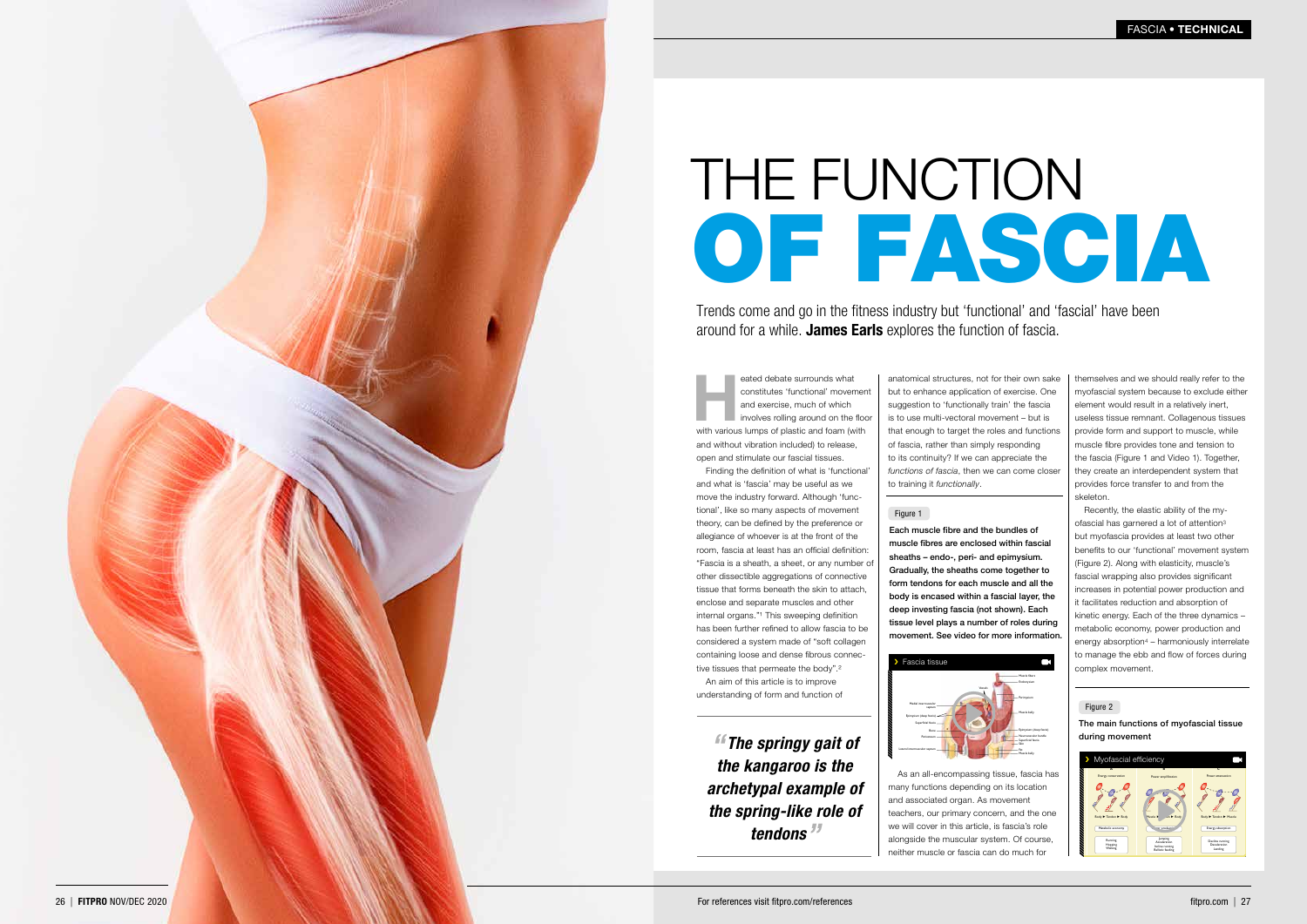*" The springy gait of the kangaroo is the archetypal example of the spring-like role of tendons "*

Trends come and go in the fitness industry but 'functional' and 'fascial' have been around for a while. James Earls explores the function of fascia.

# FASCIA • TECHNICAL





# THE FUNCTION OF FASCIA

The main functions of myofascial tissue during movement

Energy flow  $\blacksquare$ Activities



eated debate surrounds what<br>
constitutes 'functional' movemen<br>
and exercise, much of which<br>
involves rolling around on the floc<br>
with various lumps of plastic and foam (with constitutes 'functional' movement and exercise, much of which involves rolling around on the floor and without vibration included) to release, open and stimulate our fascial tissues.



Each muscle fibre and the bundles of muscle fibres are enclosed within fascial sheaths – endo-, peri- and epimysium. Gradually, the sheaths come together to form tendons for each muscle and all the body is encased within a fascial layer, the deep investing fascia (not shown). Each tissue level plays a number of roles during movement. See video for more information.

Finding the definition of what is 'functional' and what is 'fascia' may be useful as we move the industry forward. Although 'func tional', like so many aspects of movement theory, can be defined by the preference or allegiance of whoever is at the front of the room, fascia at least has an official definition: "Fascia is a sheath, a sheet, or any number of other dissectible aggregations of connective tissue that forms beneath the skin to attach, enclose and separate muscles and other internal organs."<sup>1</sup> This sweeping definition has been further refined to allow fascia to be considered a system made of "soft collagen containing loose and dense fibrous connec tive tissues that permeate the body".²

An aim of this article is to improve understanding of form and function of

anatomical structures, not for their own sake but to enhance application of exercise. One suggestion to 'functionally train' the fascia is to use multi-vectoral movement – but is that enough to target the roles and functions of fascia, rather than simply responding to its continuity? If we can appreciate the *functions of fascia*, then we can come closer to training it *functionally* .

## Figure 1

themselves and we should really refer to the myofascial system because to exclude either element would result in a relatively inert, useless tissue remnant. Collagenous tissues provide form and support to muscle, while muscle fibre provides tone and tension to the fascia (Figure 1 and Video 1). Together, they create an interdependent system that provides force transfer to and from the skeleton.

Recently, the elastic ability of the my ofascial has garnered a lot of attention 3 but myofascia provides at least two other benefits to our 'functional' movement system (Figure 2). Along with elasticity, muscle's fascial wrapping also provides significant increases in potential power production and it facilitates reduction and absorption of kinetic energy. Each of the three dynamics – metabolic economy, power production and energy absorption 4 – harmoniously interrelate to manage the ebb and flow of forces during complex movement.

#### Figure 2